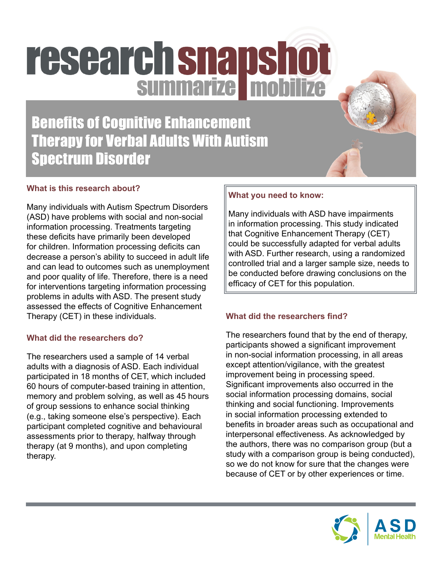# research snapshot

Benefits of Cognitive Enhancement Therapy for Verbal Adults With Autism Spectrum Disorder

# **What is this research about?**

Many individuals with Autism Spectrum Disorders (ASD) have problems with social and non-social information processing. Treatments targeting these deficits have primarily been developed for children. Information processing deficits can decrease a person's ability to succeed in adult life and can lead to outcomes such as unemployment and poor quality of life. Therefore, there is a need for interventions targeting information processing problems in adults with ASD. The present study assessed the effects of Cognitive Enhancement Therapy (CET) in these individuals.

# **What did the researchers do?**

The researchers used a sample of 14 verbal adults with a diagnosis of ASD. Each individual participated in 18 months of CET, which included 60 hours of computer-based training in attention, memory and problem solving, as well as 45 hours of group sessions to enhance social thinking (e.g., taking someone else's perspective). Each participant completed cognitive and behavioural assessments prior to therapy, halfway through therapy (at 9 months), and upon completing therapy.

# **What you need to know:**

Many individuals with ASD have impairments in information processing. This study indicated that Cognitive Enhancement Therapy (CET) could be successfully adapted for verbal adults with ASD. Further research, using a randomized controlled trial and a larger sample size, needs to be conducted before drawing conclusions on the efficacy of CET for this population.

# **What did the researchers find?**

The researchers found that by the end of therapy, participants showed a significant improvement in non-social information processing, in all areas except attention/vigilance, with the greatest improvement being in processing speed. Significant improvements also occurred in the social information processing domains, social thinking and social functioning. Improvements in social information processing extended to benefits in broader areas such as occupational and interpersonal effectiveness. As acknowledged by the authors, there was no comparison group (but a study with a comparison group is being conducted), so we do not know for sure that the changes were because of CET or by other experiences or time.